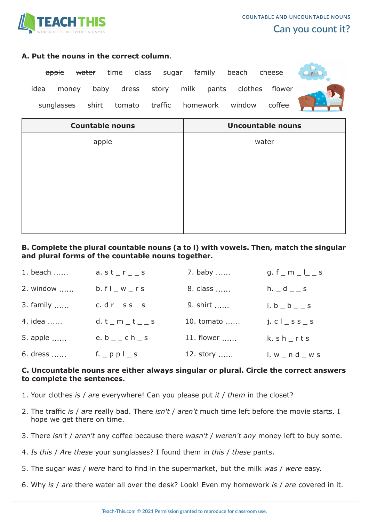

#### **A. Put the nouns in the correct column**.

<del>apple water</del> time class sugar family beach cheese idea money baby dress story milk pants clothes flower sunglasses shirt tomato traffic homework window coffee



| <b>Countable nouns</b> | <b>Uncountable nouns</b> |  |
|------------------------|--------------------------|--|
| apple                  | water                    |  |
|                        |                          |  |
|                        |                          |  |
|                        |                          |  |
|                        |                          |  |
|                        |                          |  |
|                        |                          |  |

# **B. Complete the plural countable nouns (a to l) with vowels. Then, match the singular and plural forms of the countable nouns together.**

| 1. beach  | a. $st$ $r$ $s$                     | 7. baby    | g. f $\_$ m $\_$ $\vert$ $\_$ s |
|-----------|-------------------------------------|------------|---------------------------------|
| 2. window | b. f l w                            | 8. class   | h. $-d$ $-$ s                   |
| 3. family | c. $dr$ $\leq$ s $s$ $\leq$ s       | 9. shirt   | i. $b_b$ _ $b_c$ _ s            |
| 4. idea   | $d.t$ <sub>m</sub> $t$ <sub>s</sub> | 10. tomato | $i. c l$ $s s$ $s$              |
| 5. apple  | e. $b_$ $c h_$ s                    | 11. flower | $k. s h$ <sub>rts</sub>         |
| 6. dress  | f. $ppl$ s                          | 12. story  | $1. w$ _ n d _ w s              |

## **C. Uncountable nouns are either always singular or plural. Circle the correct answers to complete the sentences.**

- 1. Your clothes *is* / *are* everywhere! Can you please put *it* / *them* in the closet?
- 2. The traffic *is* / *are* really bad. There *isn't* / *aren't* much time left before the movie starts. I hope we get there on time.
- 3. There *isn't* / *aren't* any coffee because there *wasn't* / *weren't any* money left to buy some.
- 4. *Is this* / *Are these* your sunglasses? I found them in *this* / *these* pants.
- 5. The sugar *was* / *were* hard to find in the supermarket, but the milk *was* / *were* easy.
- 6. Why *is* / *are* there water all over the desk? Look! Even my homework *is* / *are* covered in it.